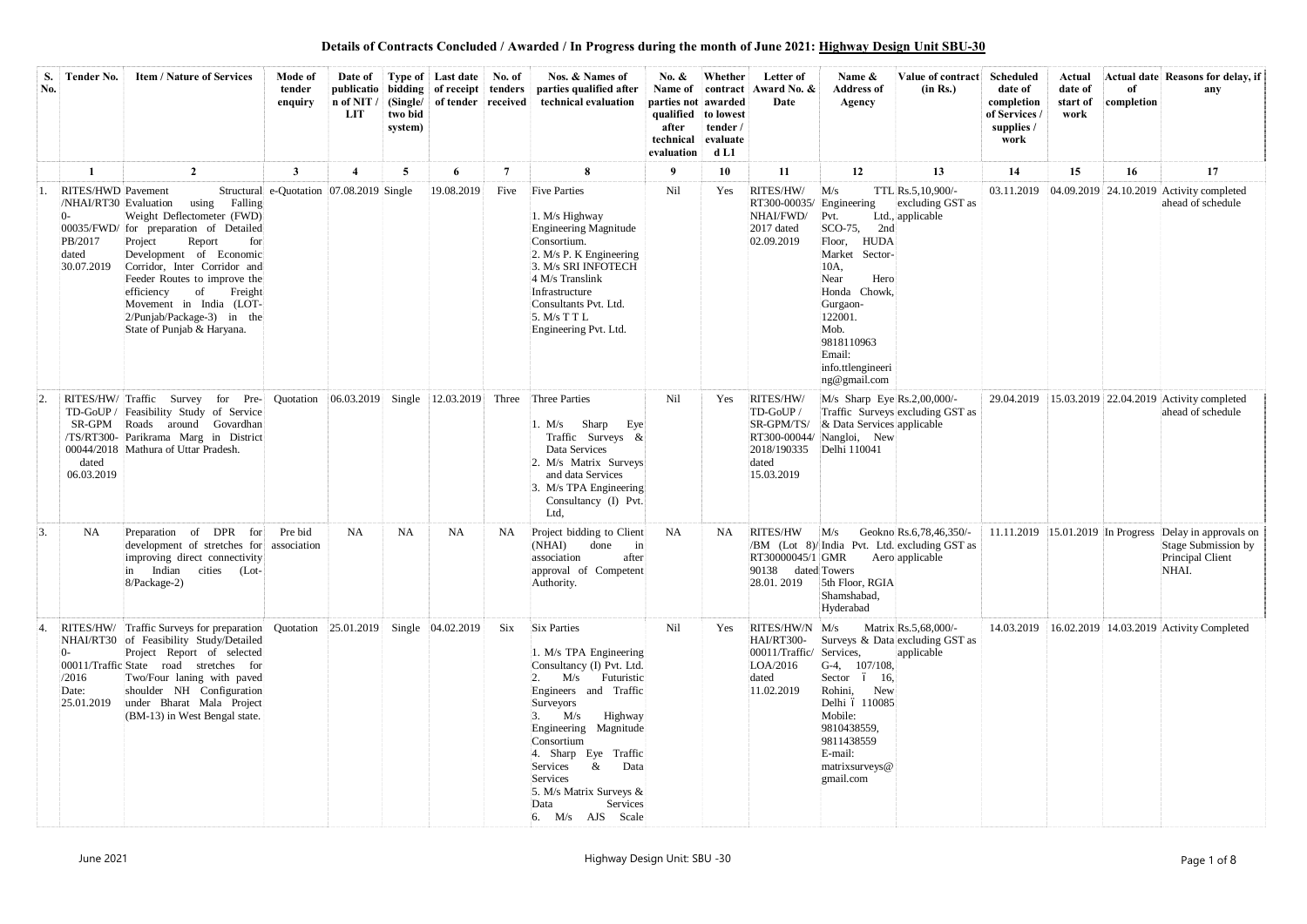| S.<br>No. | <b>Tender No.</b>                                                             | <b>Item / Nature of Services</b>                                                                                                                                                                                                                                                                                                        | Mode of<br>tender<br>enquiry             | n of NIT /<br>LIT | two bid<br>system) | Date of Type of Last date<br>publicatio bidding of receipt tenders<br>(Single/ of tender received) | No. of    | Nos. & Names of<br>parties qualified after<br>technical evaluation                                                                                                                                                                                                                                                                 | No. $\&$<br>Name of<br>parties not awarded<br>qualified to lowest<br>after<br>technical<br>evaluation | Whether<br>contract<br>tender /<br>evaluate<br>d <sub>L1</sub> | Letter of<br>Award No. &<br>Date                                                            | Name &<br><b>Address of</b><br>Agency                                                                                                                                                                                             | Value of contract Scheduled<br>(in Rs.)                                 | date of<br>completion<br>of Services<br>supplies /<br>work | Actual<br>date of<br>start of<br>work | of<br>completion | Actual date Reasons for delay, if<br>any                                                                      |
|-----------|-------------------------------------------------------------------------------|-----------------------------------------------------------------------------------------------------------------------------------------------------------------------------------------------------------------------------------------------------------------------------------------------------------------------------------------|------------------------------------------|-------------------|--------------------|----------------------------------------------------------------------------------------------------|-----------|------------------------------------------------------------------------------------------------------------------------------------------------------------------------------------------------------------------------------------------------------------------------------------------------------------------------------------|-------------------------------------------------------------------------------------------------------|----------------------------------------------------------------|---------------------------------------------------------------------------------------------|-----------------------------------------------------------------------------------------------------------------------------------------------------------------------------------------------------------------------------------|-------------------------------------------------------------------------|------------------------------------------------------------|---------------------------------------|------------------|---------------------------------------------------------------------------------------------------------------|
|           |                                                                               | $\overline{2}$                                                                                                                                                                                                                                                                                                                          | 3                                        | $\overline{4}$    | 5                  | 6                                                                                                  | 7         | 8                                                                                                                                                                                                                                                                                                                                  | -9                                                                                                    | 10                                                             | 11                                                                                          | 12                                                                                                                                                                                                                                | 13                                                                      | 14                                                         | 15                                    | 16               | 17                                                                                                            |
|           | RITES/HWD Pavement<br>/NHAI/RT30 Evaluation<br>PB/2017<br>dated<br>30.07.2019 | Falling<br>using<br>Weight Deflectometer (FWD)<br>00035/FWD/ for preparation of Detailed<br>Project<br>Report<br>for<br>Development of Economic<br>Corridor, Inter Corridor and<br>Feeder Routes to improve the<br>Freight<br>efficiency<br>of<br>Movement in India (LOT-<br>2/Punjab/Package-3) in the<br>State of Punjab & Haryana.   | Structural e-Quotation 07.08.2019 Single |                   |                    | 19.08.2019                                                                                         | Five      | <b>Five Parties</b><br>1. M/s Highway<br>Engineering Magnitude<br>Consortium.<br>2. M/s P. K Engineering<br>3. M/s SRI INFOTECH<br>4 M/s Translink<br>Infrastructure<br>Consultants Pvt. Ltd.<br>5. M/s T T L<br>Engineering Pvt. Ltd.                                                                                             | Nil                                                                                                   | Yes                                                            | RITES/HW/<br>RT300-00035/<br>NHAI/FWD/<br>2017 dated<br>02.09.2019                          | M/s<br>Engineering<br>Pvt.<br>$SCO-75$ ,<br>2nd<br><b>HUDA</b><br>Floor,<br>Sector-<br>Market<br>10A,<br>Hero<br>Near<br>Honda Chowk.<br>Gurgaon-<br>122001.<br>Mob.<br>9818110963<br>Email:<br>info.ttlengineeri<br>ng@gmail.com | TTL Rs.5,10,900/-<br>excluding GST as<br>Ltd., applicable               | 03.11.2019                                                 |                                       |                  | $[04.09.2019]$ 24.10.2019 Activity completed<br>ahead of schedule                                             |
|           | dated<br>06.03.2019                                                           | RITES/HW/Traffic Survey<br>for Pre-<br>TD-GoUP / Feasibility Study of Service<br>SR-GPM Roads around Govardhan<br>/TS/RT300- Parikrama Marg in District<br>00044/2018 Mathura of Uttar Pradesh.                                                                                                                                         | Quotation                                | 06.03.2019        |                    | Single 12.03.2019                                                                                  | Three     | Three Parties<br>Sharp<br>M/s<br>Eye<br>Traffic Surveys $\&$<br>Data Services<br>2. M/s Matrix Surveys<br>and data Services<br>3. M/s TPA Engineering<br>Consultancy (I) Pvt.<br>Ltd,                                                                                                                                              | Nil                                                                                                   | Yes                                                            | RITES/HW/<br>TD-GoUP /<br>SR-GPM/TS/<br>2018/190335 Delhi 110041<br>dated<br>15.03.2019     | $M/s$ Sharp Eye Rs.2,00,000/-<br>& Data Services applicable<br>RT300-00044/ Nangloi, New                                                                                                                                          | Traffic Surveys excluding GST as                                        | 29.04.2019                                                 |                                       |                  | 15.03.2019 22.04.2019 Activity completed<br>ahead of schedule                                                 |
| 13.       | NA                                                                            | Preparation of DPR for<br>development of stretches for association<br>improving direct connectivity<br>in Indian cities (Lot-<br>8/Package-2)                                                                                                                                                                                           | Pre bid                                  | <b>NA</b>         | <b>NA</b>          | <b>NA</b>                                                                                          | <b>NA</b> | Project bidding to Client<br>(NHAI)<br>done<br>$\ln$<br>association after<br>approval of Competent<br>Authority.                                                                                                                                                                                                                   | NA                                                                                                    | NA.                                                            | <b>RITES/HW</b><br>90138 dated Towers<br>28.01.2019                                         | M/s<br>$RT30000045/1$ GMR Aero applicable<br>5th Floor, RGIA<br>Shamshabad,<br>Hyderabad                                                                                                                                          | Geokno Rs.6,78,46,350/-<br>/BM (Lot 8)/India Pvt. Ltd. excluding GST as |                                                            |                                       |                  | $11.11.2019$ 15.01.2019 In Progress Delay in approvals on<br>Stage Submission by<br>Principal Client<br>NHAI. |
|           | /2016<br>Date:                                                                | RITES/HW/ Traffic Surveys for preparation Quotation 25.01.2019 Single 04.02.2019<br>NHAI/RT30 of Feasibility Study/Detailed<br>Project Report of selected<br>00011/Traffic State road stretches for<br>Two/Four laning with paved<br>shoulder NH Configuration<br>25.01.2019 under Bharat Mala Project<br>(BM-13) in West Bengal state. |                                          |                   |                    |                                                                                                    |           | Six Six Parties<br>1. M/s TPA Engineering<br>Consultancy (I) Pvt. Ltd.<br>M/s<br>Futuristic<br>Engineers and Traffic<br>Surveyors<br>$3.$ M/s<br>Highway<br>Engineering Magnitude<br>Consortium<br>4. Sharp Eye Traffic<br>$\&$<br>Data<br>Services<br>Services<br>5. M/s Matrix Surveys &<br>Services<br>Data<br>6. M/s AJS Scale | Nil                                                                                                   | Yes                                                            | RITES/HW/N M/s<br>HAI/RT300-<br>00011/Traffic/ Services,<br>LOA/2016<br>dated<br>11.02.2019 | $G-4$ , 107/108,<br>Sector ó 16,<br>Rohini, New<br>Delhi ó 110085<br>Mobile:<br>9810438559,<br>9811438559<br>E-mail:<br>matrixsurveys@<br>gmail.com                                                                               | Matrix Rs.5,68,000/-<br>Surveys & Data excluding GST as<br>applicable   |                                                            |                                       |                  | 14.03.2019 16.02.2019 14.03.2019 Activity Completed                                                           |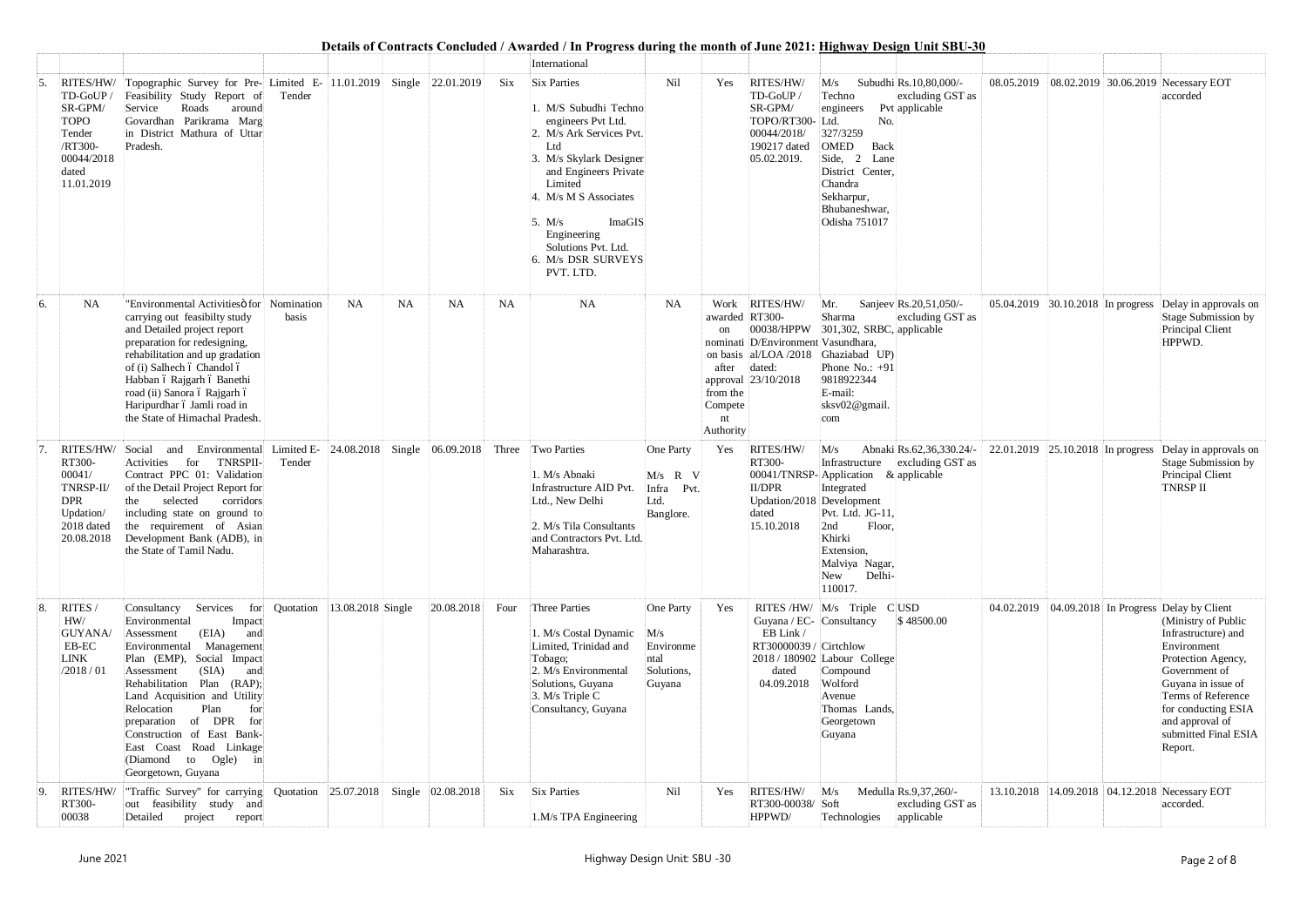|    |                                                                                                          |                                                                                                                                                                                                                                                                                                                                                                                                  |                                     |                              |            |             | International                                                                                                                                                                                                                                                                               |                                                               |                                                                                    |                                                                                                    | Deans of Contracts Concident / Tenarucu / In Trogress uuring the month of June 2021; <u>Highway Design Omt SDC 00</u>                                                                                                               |                                   |  |                                                                                                                                                                                                                                                                                |
|----|----------------------------------------------------------------------------------------------------------|--------------------------------------------------------------------------------------------------------------------------------------------------------------------------------------------------------------------------------------------------------------------------------------------------------------------------------------------------------------------------------------------------|-------------------------------------|------------------------------|------------|-------------|---------------------------------------------------------------------------------------------------------------------------------------------------------------------------------------------------------------------------------------------------------------------------------------------|---------------------------------------------------------------|------------------------------------------------------------------------------------|----------------------------------------------------------------------------------------------------|-------------------------------------------------------------------------------------------------------------------------------------------------------------------------------------------------------------------------------------|-----------------------------------|--|--------------------------------------------------------------------------------------------------------------------------------------------------------------------------------------------------------------------------------------------------------------------------------|
| 5. | TD-GoUP/<br>SR-GPM/<br><b>TOPO</b><br>Tender<br>/RT300-<br>00044/2018<br>dated<br>11.01.2019             | RITES/HW/ Topographic Survey for Pre- Limited E- 11.01.2019 Single 22.01.2019<br>Feasibility Study Report of<br>Service<br>Roads<br>around<br>Govardhan Parikrama Marg<br>in District Mathura of Uttar<br>Pradesh.                                                                                                                                                                               | Tender                              |                              |            | $\rm {Si}x$ | <b>Six Parties</b><br>1. M/S Subudhi Techno<br>engineers Pvt Ltd.<br>2. M/s Ark Services Pvt.<br>Ltd<br>3. M/s Skylark Designer<br>and Engineers Private<br>Limited<br>4. M/s M S Associates<br>ImaGIS<br>5. $M/s$<br>Engineering<br>Solutions Pvt. Ltd.<br>6. M/s DSR SURVEYS<br>PVT. LTD. | Nil                                                           | Yes                                                                                | RITES/HW/<br>TD-GoUP/<br>SR-GPM/<br>TOPO/RT300- Ltd.<br>00044/2018/<br>190217 dated<br>05.02.2019. | Subudhi Rs.10,80,000/-<br>M/s<br>Techno<br>excluding GST as<br>Pvt applicable<br>engineers<br>No.<br>327/3259<br>OMED<br>Back<br>Side, 2<br>Lane<br>District Center,<br>Chandra<br>Sekharpur,<br>Bhubaneshwar,<br>Odisha 751017     |                                   |  | 08.05.2019 08.02.2019 30.06.2019 Necessary EOT<br>accorded                                                                                                                                                                                                                     |
| 6. | NA                                                                                                       | "Environmental Activitiesö for Nomination<br>carrying out feasibilty study<br>and Detailed project report<br>preparation for redesigning,<br>rehabilitation and up gradation<br>of (i) Salhech ó Chandol ó<br>Habban ó Rajgarh ó Banethi<br>road (ii) Sanora ó Rajgarh ó<br>Haripurdhar ó Jamli road in<br>the State of Himachal Pradesh.                                                        | basis                               | <b>NA</b><br><b>NA</b>       | <b>NA</b>  | <b>NA</b>   | <b>NA</b>                                                                                                                                                                                                                                                                                   | <b>NA</b>                                                     | awarded RT300-<br><sub>on</sub><br>after<br>from the<br>Compete<br>nt<br>Authority | Work RITES/HW/<br>nominati D/Environment Vasundhara,<br>dated:<br>approval 23/10/2018              | Mr.<br>Sanjeev Rs.20,51,050/-<br>Sharma<br>excluding GST as<br>00038/HPPW 301,302, SRBC, applicable<br>on basis al/LOA/2018 Ghaziabad UP)<br>Phone No.: $+91$<br>9818922344<br>E-mail:<br>sksv02@gmail.<br>com                      | 05.04.2019 30.10.2018 In progress |  | Delay in approvals on<br>Stage Submission by<br>Principal Client<br>HPPWD.                                                                                                                                                                                                     |
|    | RITES/HW/ Social<br>RT300-<br>00041/<br>TNRSP-II/<br><b>DPR</b><br>Updation/<br>2018 dated<br>20.08.2018 | Environmental<br>and<br>TNRSPII-<br>Activities<br>for<br>Contract PPC 01: Validation<br>of the Detail Project Report for<br>selected<br>corridors<br>the<br>including state on ground to<br>the requirement of Asian<br>Development Bank (ADB), in<br>the State of Tamil Nadu.                                                                                                                   | Limited E-<br>Tender                | 24.08.2018 Single 06.09.2018 |            | Three       | <b>Two Parties</b><br>1. M/s Abnaki<br>Infrastructure AID Pvt.<br>Ltd., New Delhi<br>2. M/s Tila Consultants<br>and Contractors Pvt. Ltd.<br>Maharashtra.                                                                                                                                   | One Party<br>$M/s$ R V<br>Infra Pvt.<br>Ltd.<br>Banglore.     | Yes                                                                                | RITES/HW/<br>RT300-<br><b>II/DPR</b><br>Updation/2018 Development<br>dated<br>15.10.2018           | M/s<br>Abnaki Rs.62,36,330.24/-<br>Infrastructure excluding GST as<br>00041/TNRSP-Application & applicable<br>Integrated<br>Pvt. Ltd. JG-11,<br>Floor,<br>2nd<br>Khirki<br>Extension,<br>Malviya Nagar,<br>Delhi-<br>New<br>110017. | 22.01.2019 25.10.2018 In progress |  | Delay in approvals on<br>Stage Submission by<br>Principal Client<br><b>TNRSP II</b>                                                                                                                                                                                            |
| 8. | RITES /<br>HW/<br><b>GUYANA</b> /<br>EB-EC<br>LINK<br>/2018/01                                           | Consultancy Services<br>Environmental<br>Impact<br>(EIA)<br>Assessment<br>and<br>Environmental Management<br>Plan (EMP), Social Impact<br>(SIA)<br>Assessment<br>and<br>Rehabilitation Plan (RAP);<br>Land Acquisition and Utility<br>Relocation<br>Plan<br>for<br>preparation of DPR for<br>Construction of East Bank-<br>East Coast Road Linkage<br>(Diamond to Ogle) in<br>Georgetown, Guyana | for Quotation $ 13.08.2018 $ Single |                              | 20.08.2018 | Four        | Three Parties<br>1. M/s Costal Dynamic<br>Limited, Trinidad and<br>Tobago;<br>2. M/s Environmental<br>Solutions, Guyana<br>3. M/s Triple C<br>Consultancy, Guyana                                                                                                                           | One Party<br>M/s<br>Environme<br>ntal<br>Solutions,<br>Guyana | Yes                                                                                | Guyana / EC- Consultancy<br>EB Link /<br>RT30000039 / Cirtchlow<br>dated<br>04.09.2018             | RITES/HW/ $M/s$ Triple CUSD<br>\$48500.00<br>2018 / 180902 Labour College<br>Compound<br>Wolford<br>Avenue<br>Thomas Lands,<br>Georgetown<br>Guyana                                                                                 |                                   |  | 04.02.2019 04.09.2018 In Progress Delay by Client<br>(Ministry of Public<br>Infrastructure) and<br>Environment<br>Protection Agency,<br>Government of<br>Guyana in issue of<br>Terms of Reference<br>for conducting ESIA<br>and approval of<br>submitted Final ESIA<br>Report. |
| 9. | RITES/HW/<br>RT300-<br>00038                                                                             | "Traffic Survey" for carrying Quotation 25.07.2018 Single 02.08.2018<br>out feasibility study and<br>Detailed<br>project<br>report                                                                                                                                                                                                                                                               |                                     |                              |            | Six         | <b>Six Parties</b><br>1.M/s TPA Engineering                                                                                                                                                                                                                                                 | Nil                                                           | Yes                                                                                | RITES/HW/<br>RT300-00038/ Soft<br>HPPWD/                                                           | Medulla Rs.9,37,260/-<br>M/s<br>excluding GST as<br>applicable<br>Technologies                                                                                                                                                      |                                   |  | 13.10.2018 14.09.2018 04.12.2018 Necessary EOT<br>accorded.                                                                                                                                                                                                                    |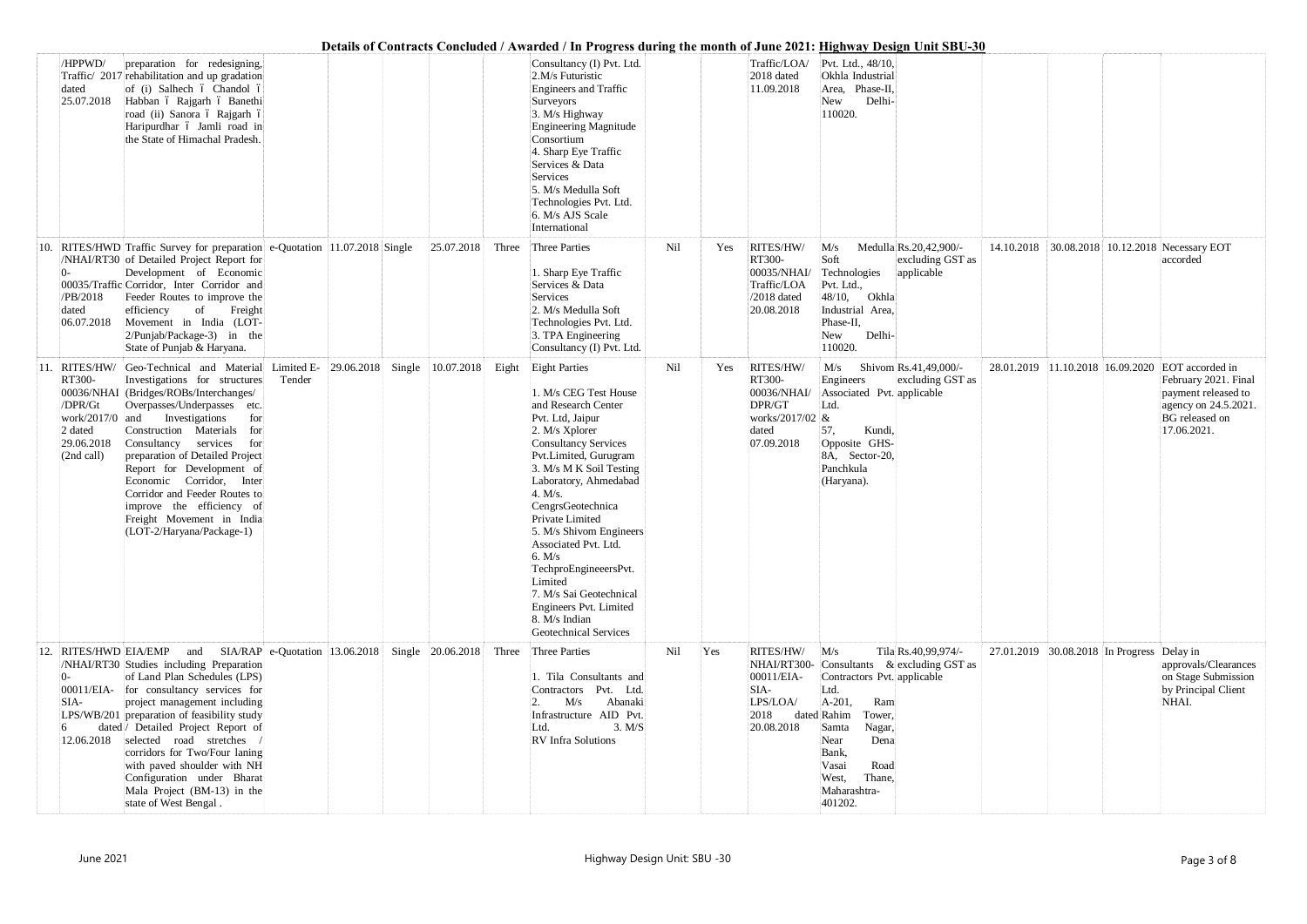|     | /HPPWD/<br>dated<br>25.07.2018                                              | preparation for redesigning,<br>Traffic/ 2017 rehabilitation and up gradation<br>of (i) Salhech ó Chandol ó<br>Habban ó Rajgarh ó Banethi<br>road (ii) Sanora ó Rajgarh ó<br>Haripurdhar ó Jamli road in<br>the State of Himachal Pradesh.                                                                                                                                                                                                                                                          |                                    |                   |       | Consultancy (I) Pvt. Ltd.<br>2.M/s Futuristic<br><b>Engineers and Traffic</b><br>Surveyors<br>3. M/s Highway<br>Engineering Magnitude<br>Consortium<br>4. Sharp Eye Traffic<br>Services & Data<br>Services<br>5. M/s Medulla Soft<br>Technologies Pvt. Ltd.<br>6. M/s AJS Scale                                                                                                                                                                                          |     |     | Traffic/LOA/<br>2018 dated<br>11.09.2018                                               | Details of Contracts Conciducu / Awarucu / In 1 rogress uuring the month of June 2021, <u>Highway Design Omt 3D0-50</u><br>Pvt. Ltd., 48/10,<br>Okhla Industrial<br>Area, Phase-II,<br>New<br>Delhi-<br>110020.                                                        |                                            |  |                                                                                                                                                          |
|-----|-----------------------------------------------------------------------------|-----------------------------------------------------------------------------------------------------------------------------------------------------------------------------------------------------------------------------------------------------------------------------------------------------------------------------------------------------------------------------------------------------------------------------------------------------------------------------------------------------|------------------------------------|-------------------|-------|--------------------------------------------------------------------------------------------------------------------------------------------------------------------------------------------------------------------------------------------------------------------------------------------------------------------------------------------------------------------------------------------------------------------------------------------------------------------------|-----|-----|----------------------------------------------------------------------------------------|------------------------------------------------------------------------------------------------------------------------------------------------------------------------------------------------------------------------------------------------------------------------|--------------------------------------------|--|----------------------------------------------------------------------------------------------------------------------------------------------------------|
|     | /PB/2018<br>dated<br>06.07.2018                                             | RITES/HWD Traffic Survey for preparation e-Quotation 11.07.2018 Single<br>/NHAI/RT30 of Detailed Project Report for<br>Development of Economic<br>00035/Traffic Corridor, Inter Corridor and<br>Feeder Routes to improve the<br>of<br>Freight<br>efficiency<br>Movement in India (LOT-<br>$2/P$ unjab/Package-3) in the<br>State of Punjab & Haryana.                                                                                                                                               |                                    | 25.07.2018        | Three | International<br>Three Parties<br>1. Sharp Eye Traffic<br>Services & Data<br>Services<br>2. M/s Medulla Soft<br>Technologies Pvt. Ltd.<br>3. TPA Engineering<br>Consultancy (I) Pvt. Ltd.                                                                                                                                                                                                                                                                                | Nil | Yes | RITES/HW/<br>RT300-<br>00035/NHAI/<br>Traffic/LOA<br>$/2018$ dated<br>20.08.2018       | M/s<br>Medulla Rs.20,42,900/-<br>Soft<br>excluding GST as<br>applicable<br>Technologies<br>Pvt. Ltd.,<br>48/10,<br>Okhla<br>Industrial Area,<br>Phase-II,<br>Delhi-<br>New<br>110020.                                                                                  | 14.10.2018                                 |  | 30.08.2018 10.12.2018 Necessary EOT<br>accorded                                                                                                          |
| 11. | RT300-<br>/DPR/Gt<br>work/2017/0 and<br>2 dated<br>29.06.2018<br>(2nd call) | RITES/HW/ Geo-Technical and Material<br>Investigations for structures<br>00036/NHAI (Bridges/ROBs/Interchanges/<br>Overpasses/Underpasses etc.<br>Investigations<br>for<br>Construction Materials for<br>Consultancy services<br>for<br>preparation of Detailed Project<br>Report for Development of<br>Economic Corridor, Inter<br>Corridor and Feeder Routes to<br>improve the efficiency of<br>Freight Movement in India<br>(LOT-2/Haryana/Package-1)                                            | Limited E-<br>29.06.2018<br>Tender | Single 10.07.2018 |       | Eight Eight Parties<br>1. M/s CEG Test House<br>and Research Center<br>Pvt. Ltd, Jaipur<br>2. M/s Xplorer<br><b>Consultancy Services</b><br>Pvt.Limited, Gurugram<br>3. M/s M K Soil Testing<br>Laboratory, Ahmedabad<br>4. M/s.<br>CengrsGeotechnica<br>Private Limited<br>5. M/s Shivom Engineers<br>Associated Pvt. Ltd.<br>6. M/s<br>TechproEngineeersPvt.<br>Limited<br>7. M/s Sai Geotechnical<br>Engineers Pvt. Limited<br>8. M/s Indian<br>Geotechnical Services | Nil | Yes | RITES/HW/<br>RT300-<br>00036/NHAI/<br>DPR/GT<br>works/2017/02 &<br>dated<br>07.09.2018 | Shivom Rs.41,49,000/-<br>M/s<br>Engineers<br>excluding GST as<br>Associated Pvt. applicable<br>Ltd.<br>57,<br>Kundi,<br>Opposite GHS-<br>8A, Sector-20,<br>Panchkula<br>(Haryana).                                                                                     |                                            |  | 28.01.2019 11.10.2018 16.09.2020 EOT accorded in<br>February 2021. Final<br>payment released to<br>agency on 24.5.2021.<br>BG released on<br>17.06.2021. |
|     | $0-$<br>SIA-<br>12.06.2018                                                  | RITES/HWD EIA/EMP and SIA/RAP e-Quotation 13.06.2018 Single 20.06.2018<br>/NHAI/RT30 Studies including Preparation<br>of Land Plan Schedules (LPS)<br>00011/EIA- for consultancy services for<br>project management including<br>LPS/WB/201 preparation of feasibility study<br>dated / Detailed Project Report of<br>selected road stretches<br>corridors for Two/Four laning<br>with paved shoulder with NH<br>Configuration under Bharat<br>Mala Project (BM-13) in the<br>state of West Bengal. |                                    |                   |       | Three Three Parties<br>1. Tila Consultants and<br>Contractors Pvt. Ltd.<br>Abanaki<br>M/s<br>Infrastructure AID Pvt.<br>3. M/S<br>Ltd.<br>RV Infra Solutions                                                                                                                                                                                                                                                                                                             | Nil | Yes | RITES/HW/<br>00011/EIA-<br>SIA-<br>LPS/LOA/<br>2018<br>20.08.2018                      | M/s<br>Tila Rs.40,99,974/-<br>NHAI/RT300- Consultants & excluding GST as<br>Contractors Pvt. applicable<br>Ltd.<br>$A-201,$<br>Ram<br>dated Rahim<br>Tower,<br>Samta<br>Nagar,<br>Near<br>Dena<br>Bank,<br>Vasai<br>Road<br>West,<br>Thane,<br>Maharashtra-<br>401202. | 27.01.2019 30.08.2018 In Progress Delay in |  | approvals/Clearances<br>on Stage Submission<br>by Principal Client<br>NHAI.                                                                              |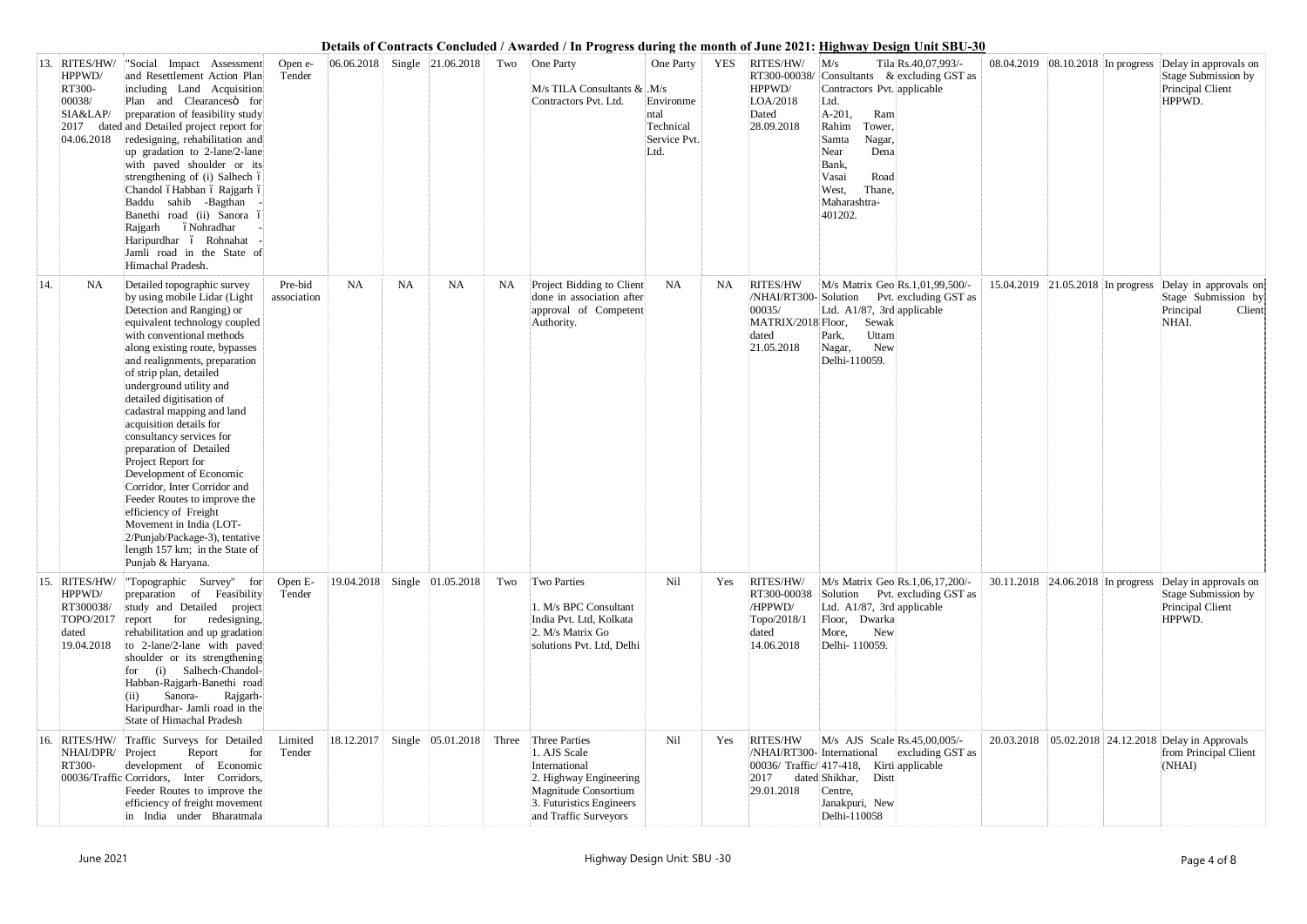| 13. | RITES/HW/<br>HPPWD/<br>RT300-<br>00038/<br>SIA&LAP/<br>04.06.2018    | "Social Impact Assessment<br>and Resettlement Action Plan<br>including Land Acquisition<br>Plan and Clearancesö for<br>preparation of feasibility study<br>2017 dated and Detailed project report for<br>redesigning, rehabilitation and<br>up gradation to 2-lane/2-lane<br>with paved shoulder or its<br>strengthening of (i) Salhech ó<br>Chandol óHabban ó Rajgarh ó<br>Baddu sahib -Bagthan<br>Banethi road (ii) Sanora ó<br>óNohradhar<br>Rajgarh<br>Haripurdhar ó Rohnahat<br>Jamli road in the State of<br>Himachal Pradesh.                                                                                                                                                      | Open e-<br>Tender      |            |           | $ 06.06.2018 $ Single $ 21.06.2018 $ |       | Two One Party<br>$M/s$ TILA Consultants & $M/s$<br>Contractors Pvt. Ltd.                                                                              | One Party<br>Environme<br>ntal<br>Technical<br>Service Pvt.<br>Ltd. | YES       | RITES/HW/<br>HPPWD/<br>LOA/2018<br>Dated<br>28.09.2018                    | M/s<br>Contractors Pvt. applicable<br>Ltd.<br>$A-201,$<br>Ram<br>Rahim<br>Tower,<br>Nagar,<br>Samta<br>Dena<br>Near<br>Bank,<br>Road<br>Vasai<br>West,<br>Thane,<br>Maharashtra-<br>401202. | Tila Rs.40,07,993/-<br>$RT300-00038/$ Consultants & excluding GST as |                                   |                                   | $08.04.2019$ 08.10.2018 In progress Delay in approvals on<br>Stage Submission by<br>Principal Client<br>HPPWD. |
|-----|----------------------------------------------------------------------|-------------------------------------------------------------------------------------------------------------------------------------------------------------------------------------------------------------------------------------------------------------------------------------------------------------------------------------------------------------------------------------------------------------------------------------------------------------------------------------------------------------------------------------------------------------------------------------------------------------------------------------------------------------------------------------------|------------------------|------------|-----------|--------------------------------------|-------|-------------------------------------------------------------------------------------------------------------------------------------------------------|---------------------------------------------------------------------|-----------|---------------------------------------------------------------------------|---------------------------------------------------------------------------------------------------------------------------------------------------------------------------------------------|----------------------------------------------------------------------|-----------------------------------|-----------------------------------|----------------------------------------------------------------------------------------------------------------|
| 14. | NA                                                                   | Detailed topographic survey<br>by using mobile Lidar (Light<br>Detection and Ranging) or<br>equivalent technology coupled<br>with conventional methods<br>along existing route, bypasses<br>and realignments, preparation<br>of strip plan, detailed<br>underground utility and<br>detailed digitisation of<br>cadastral mapping and land<br>acquisition details for<br>consultancy services for<br>preparation of Detailed<br>Project Report for<br>Development of Economic<br>Corridor, Inter Corridor and<br>Feeder Routes to improve the<br>efficiency of Freight<br>Movement in India (LOT-<br>2/Punjab/Package-3), tentative<br>length 157 km; in the State of<br>Punjab & Haryana. | Pre-bid<br>association | <b>NA</b>  | <b>NA</b> | <b>NA</b>                            | NA    | Project Bidding to Client<br>done in association after<br>approval of Competent<br>Authority.                                                         | <b>NA</b>                                                           | <b>NA</b> | RITES/HW<br>00035/<br>MATRIX/2018 Floor,<br>dated<br>21.05.2018           | M/s Matrix Geo Rs.1,01,99,500/-<br>Ltd. A1/87, 3rd applicable<br>Sewak<br>Uttam<br>Park,<br>New<br>Nagar,<br>Delhi-110059.                                                                  | /NHAI/RT300-Solution Pvt. excluding GST as                           |                                   | 15.04.2019 21.05.2018 In progress | Delay in approvals on<br>Stage Submission by<br>Principal<br>Client<br>NHAI.                                   |
| 15. | RITES/HW/<br>HPPWD/<br>RT300038/<br>TOPO/2017<br>dated<br>19.04.2018 | "Topographic Survey" for<br>preparation of Feasibility<br>study and Detailed project<br>for<br>redesigning,<br>report<br>rehabilitation and up gradation<br>to 2-lane/2-lane with paved<br>shoulder or its strengthening<br>for (i) Salhech-Chandol-<br>Habban-Rajgarh-Banethi road<br>Rajgarh-<br>Sanora-<br>(11)<br>Haripurdhar- Jamli road in the<br>State of Himachal Pradesh                                                                                                                                                                                                                                                                                                         | Open E-<br>Tender      |            |           | 19.04.2018 Single 01.05.2018         | Two   | Two Parties<br>1. M/s BPC Consultant<br>India Pvt. Ltd, Kolkata<br>2. M/s Matrix Go<br>solutions Pvt. Ltd, Delhi                                      | Nil                                                                 | Yes       | RITES/HW/<br>RT300-00038<br>/HPPWD/<br>Topo/2018/1<br>dated<br>14.06.2018 | M/s Matrix Geo Rs.1,06,17,200/-<br>Ltd. A1/87, 3rd applicable<br>Floor, Dwarka<br>New<br>More,<br>Delhi-110059.                                                                             | Solution Pvt. excluding GST as                                       | 30.11.2018 24.06.2018 In progress |                                   | Delay in approvals on<br>Stage Submission by<br>Principal Client<br>HPPWD.                                     |
| 16. | NHAI/DPR/ Project<br>RT300-                                          | RITES/HW/ Traffic Surveys for Detailed<br>for<br>Report<br>development of Economic<br>00036/Traffic Corridors, Inter Corridors,<br>Feeder Routes to improve the<br>efficiency of freight movement<br>in India under Bharatmala                                                                                                                                                                                                                                                                                                                                                                                                                                                            | Limited<br>Tender      | 18.12.2017 |           | Single 05.01.2018                    | Three | Three Parties<br>1. AJS Scale<br>International<br>2. Highway Engineering<br>Magnitude Consortium<br>3. Futuristics Engineers<br>and Traffic Surveyors | Nil                                                                 | Yes       | <b>RITES/HW</b><br>/NHAI/RT300- International<br>2017<br>29.01.2018       | M/s AJS Scale Rs.45,00,005/-<br>00036/ Traffic/417-418, Kirti applicable<br>dated Shikhar,<br>Distt<br>Centre,<br>Janakpuri, New<br>Delhi-110058                                            | excluding GST as                                                     | 20.03.2018                        |                                   | 05.02.2018 24.12.2018 Delay in Approvals<br>from Principal Client<br>(NHAI)                                    |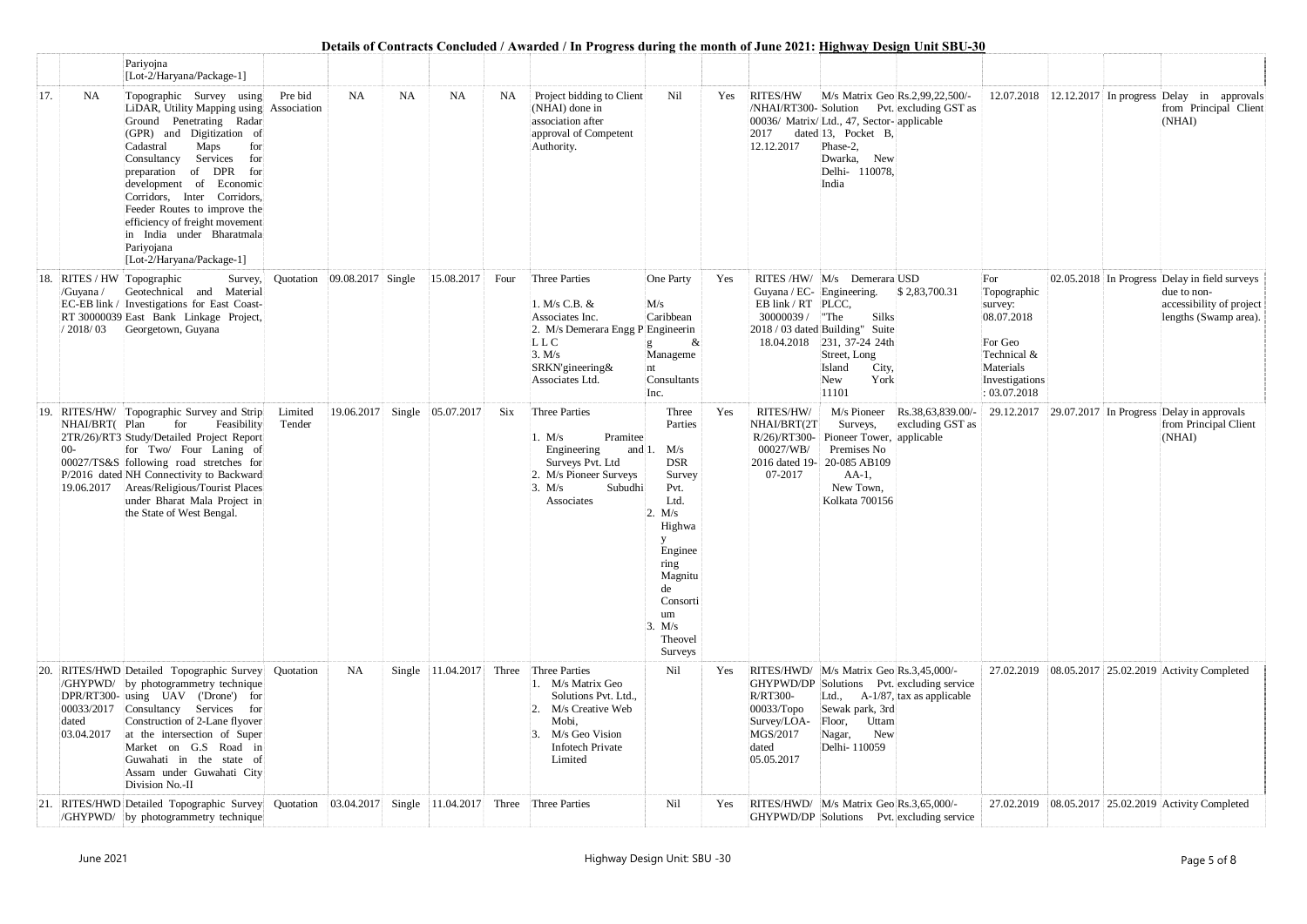|               |                                                  | Pariyojna<br>[Lot-2/Haryana/Package-1]                                                                                                                                                                                                                                                                                                                                                                                       |                   |                   |           |                   |      |                                                                                                                                                                        |                                                                                                                                                                                |     |                                                                                    |                                                                                                                                                                  |                                                   |                                                                                                                      |                                                                                                                   |
|---------------|--------------------------------------------------|------------------------------------------------------------------------------------------------------------------------------------------------------------------------------------------------------------------------------------------------------------------------------------------------------------------------------------------------------------------------------------------------------------------------------|-------------------|-------------------|-----------|-------------------|------|------------------------------------------------------------------------------------------------------------------------------------------------------------------------|--------------------------------------------------------------------------------------------------------------------------------------------------------------------------------|-----|------------------------------------------------------------------------------------|------------------------------------------------------------------------------------------------------------------------------------------------------------------|---------------------------------------------------|----------------------------------------------------------------------------------------------------------------------|-------------------------------------------------------------------------------------------------------------------|
| 17.           | <b>NA</b>                                        | Topographic Survey using<br>LiDAR, Utility Mapping using Association<br>Ground Penetrating Radar<br>(GPR) and Digitization of<br>Cadastral<br>Maps<br>for<br>Services<br>Consultancy<br>for<br>of DPR for<br>preparation<br>development of Economic<br>Corridors, Inter Corridors,<br>Feeder Routes to improve the<br>efficiency of freight movement<br>in India under Bharatmala<br>Pariyojana<br>[Lot-2/Haryana/Package-1] | Pre bid           | <b>NA</b>         | <b>NA</b> | <b>NA</b>         | NA   | Project bidding to Client<br>(NHAI) done in<br>association after<br>approval of Competent<br>Authority.                                                                | Nil                                                                                                                                                                            | Yes | <b>RITES/HW</b><br>2017<br>12.12.2017                                              | M/s Matrix Geo Rs.2,99,22,500/-<br>00036/ Matrix/Ltd., 47, Sector- applicable<br>dated 13, Pocket B,<br>Phase-2,<br>New<br>Dwarka,<br>Delhi- 110078,<br>India    | /NHAI/RT300-Solution Pvt. excluding GST as        |                                                                                                                      | $12.07.2018$   12.12.2017 In progress Delay in approvals<br>from Principal Client<br>(NHAI)                       |
| 18.           | RITES / HW Topographic<br>/Guyana /<br>/ 2018/03 | Survey,<br>Geotechnical and Material<br>EC-EB link / Investigations for East Coast-<br>RT 30000039 East Bank Linkage Project,<br>Georgetown, Guyana                                                                                                                                                                                                                                                                          | Quotation         | 09.08.2017 Single |           | 15.08.2017        | Four | Three Parties<br>1. M/s C.B. &<br>Associates Inc.<br>2. M/s Demerara Engg P Engineerin<br>LLC<br>3. M/s<br>SRKN'gineering&<br>Associates Ltd.                          | One Party<br>M/s<br>Caribbean<br>$\alpha$<br>Manageme<br>nt<br>Consultants<br>Inc.                                                                                             | Yes | Guyana / EC- Engineering.<br>EB link / RT PLCC,<br>30000039 / The                  | RITES /HW/ M/s Demerara USD<br>Silks<br>2018 / 03 dated Building" Suite<br>18.04.2018 231, 37-24 24th<br>Street, Long<br>Island<br>City,<br>York<br>New<br>11101 | \$2,83,700.31                                     | For<br>Topographic<br>survey:<br>08.07.2018<br>For Geo<br>Technical &<br>Materials<br>Investigations<br>: 03.07.2018 | 02.05.2018 In Progress Delay in field surveys<br>due to non-<br>accessibility of project<br>lengths (Swamp area). |
|               | NHAI/BRT(Plan<br>$00-$                           | 19. RITES/HW/ Topographic Survey and Strip<br>for<br>Feasibility<br>2TR/26)/RT3 Study/Detailed Project Report<br>for Two/ Four Laning of<br>00027/TS&S following road stretches for<br>P/2016 dated NH Connectivity to Backward<br>19.06.2017   Areas/Religious/Tourist Places<br>under Bharat Mala Project in<br>the State of West Bengal.                                                                                  | Limited<br>Tender | 19.06.2017        |           | Single 05.07.2017 | Six  | Three Parties<br>Pramitee<br>1. $M/s$<br>Engineering<br>and $1$ .<br>Surveys Pvt. Ltd<br>2. M/s Pioneer Surveys<br>3. M/s<br>Subudhi<br>Associates                     | Three<br>Parties<br>M/s<br><b>DSR</b><br>Survey<br>Pvt.<br>Ltd.<br>2. M/s<br>Highwa<br>y<br>Enginee<br>ring<br>Magnitu<br>de<br>Consorti<br>um<br>3. M/s<br>Theovel<br>Surveys | Yes | RITES/HW/<br>NHAI/BRT(2T<br>00027/WB/<br>07-2017                                   | Surveys,<br>R/26)/RT300- Pioneer Tower, applicable<br>Premises No<br>2016 dated 19-20-085 AB109<br>$AA-1$ ,<br>New Town,<br>Kolkata 700156                       | M/s Pioneer Rs.38,63,839.00/-<br>excluding GST as |                                                                                                                      | 29.12.2017   29.07.2017 In Progress Delay in approvals<br>from Principal Client<br>(NHAI)                         |
| <sup>20</sup> | dated<br>03.04.2017                              | RITES/HWD Detailed Topographic Survey<br>/GHYPWD/ by photogrammetry technique<br>DPR/RT300- using UAV ('Drone') for<br>00033/2017 Consultancy Services<br>for<br>Construction of 2-Lane flyover<br>at the intersection of Super<br>Market on G.S Road in<br>Guwahati in the state of<br>Assam under Guwahati City<br>Division No.-II                                                                                         | Quotation         | <b>NA</b>         |           | Single 11.04.2017 |      | Three Three Parties<br>1. M/s Matrix Geo<br>Solutions Pvt. Ltd.,<br>M/s Creative Web<br>Mobi,<br>M/s Geo Vision<br>$\mathcal{R}$<br><b>Infotech Private</b><br>Limited | Nil                                                                                                                                                                            | Yes | <b>R/RT300-</b><br>$00033/T$ opo<br>Survey/LOA-<br>MGS/2017<br>dated<br>05.05.2017 | RITES/HWD/ M/s Matrix Geo Rs.3,45,000/-<br>Ltd., $A-1/87$ , tax as applicable<br>Sewak park, 3rd<br>Floor, Uttam<br>New<br>Nagar,<br>Delhi-110059                | GHYPWD/DP Solutions Pvt. excluding service        |                                                                                                                      | 27.02.2019 08.05.2017 25.02.2019 Activity Completed                                                               |
|               |                                                  | 21. RITES/HWD Detailed Topographic Survey Quotation 03.04.2017<br>/GHYPWD/ by photogrammetry technique                                                                                                                                                                                                                                                                                                                       |                   |                   |           |                   |      | Single $ 11.04.2017 $ Three Three Parties                                                                                                                              | Nil                                                                                                                                                                            | Yes |                                                                                    | RITES/HWD/ M/s Matrix Geo Rs.3,65,000/-                                                                                                                          | GHYPWD/DP Solutions Pvt. excluding service        |                                                                                                                      | 27.02.2019 08.05.2017 25.02.2019 Activity Completed                                                               |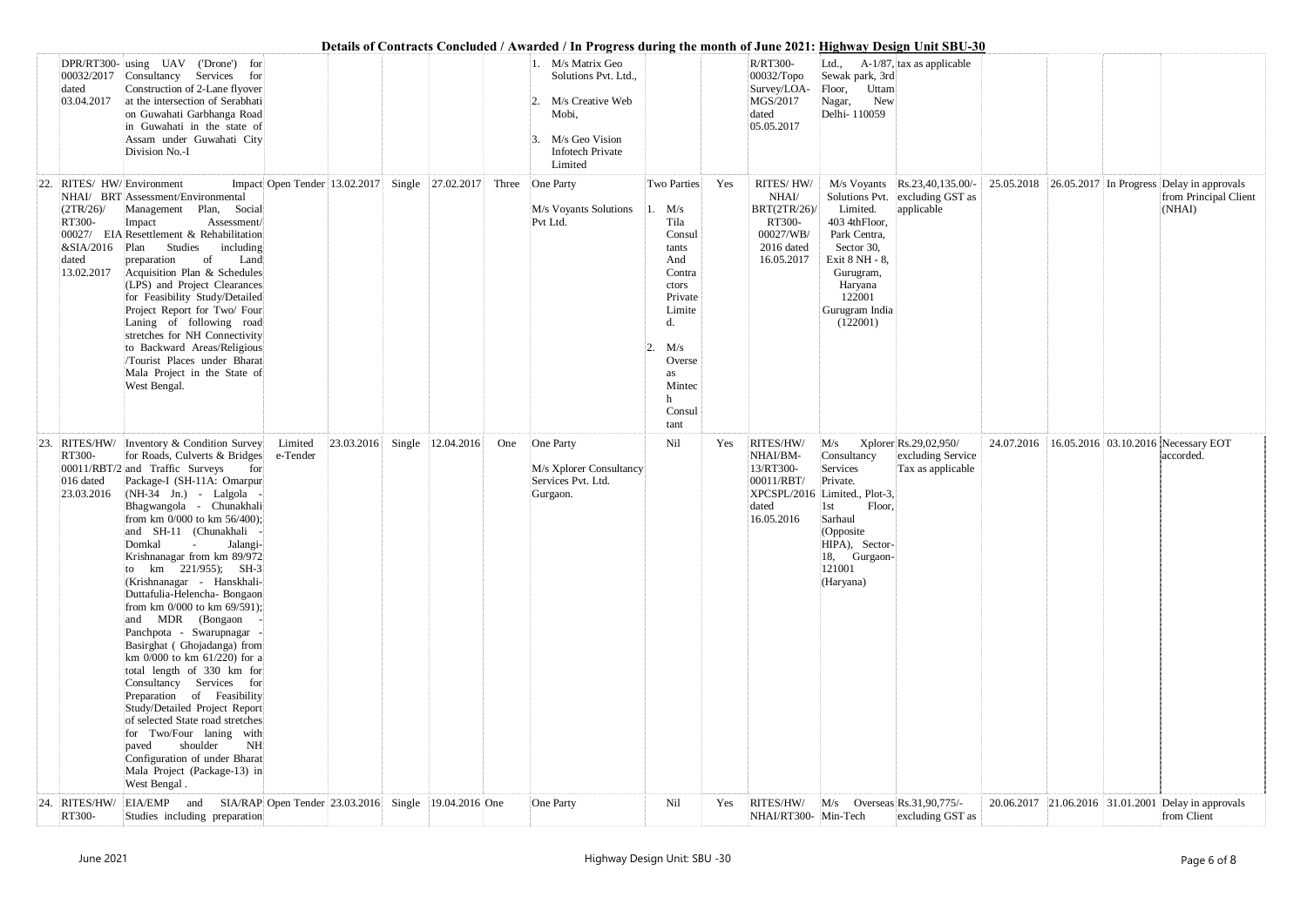|     |                                                        |                                                                                                                                                                                                                                                                                                                                                                                                                                                                                                                                                                                                                                                                                                                                                                                                                                                                                                       |                                   |                     | Details of Contracts Concluded / Awarded / In Progress during the month of June 2021: Highway Design Unit SBU-30                           |                                                                                                                                                           |     |                                                                                              |                                                                                                                                                                               |                                                                                |                                                        |                                 |
|-----|--------------------------------------------------------|-------------------------------------------------------------------------------------------------------------------------------------------------------------------------------------------------------------------------------------------------------------------------------------------------------------------------------------------------------------------------------------------------------------------------------------------------------------------------------------------------------------------------------------------------------------------------------------------------------------------------------------------------------------------------------------------------------------------------------------------------------------------------------------------------------------------------------------------------------------------------------------------------------|-----------------------------------|---------------------|--------------------------------------------------------------------------------------------------------------------------------------------|-----------------------------------------------------------------------------------------------------------------------------------------------------------|-----|----------------------------------------------------------------------------------------------|-------------------------------------------------------------------------------------------------------------------------------------------------------------------------------|--------------------------------------------------------------------------------|--------------------------------------------------------|---------------------------------|
|     | dated<br>03.04.2017                                    | DPR/RT300- using UAV ('Drone') for<br>00032/2017 Consultancy Services for<br>Construction of 2-Lane flyover<br>at the intersection of Serabhati<br>on Guwahati Garbhanga Road<br>in Guwahati in the state of<br>Assam under Guwahati City<br>Division No.-I                                                                                                                                                                                                                                                                                                                                                                                                                                                                                                                                                                                                                                           |                                   |                     | 1. M/s Matrix Geo<br>Solutions Pvt. Ltd.,<br>M/s Creative Web<br>2.<br>Mobi,<br>M/s Geo Vision<br>3.<br><b>Infotech Private</b><br>Limited |                                                                                                                                                           |     | R/RT300-<br>$00032/T$ opo<br>Survey/LOA-<br>MGS/2017<br>dated<br>05.05.2017                  | Sewak park, 3rd<br>Uttam<br>Floor,<br>New<br>Nagar,<br>Delhi-110059                                                                                                           | Ltd., $A-1/87$ , tax as applicable                                             |                                                        |                                 |
| 22. | (2TR/26)<br>RT300-<br>&SIA/2016<br>dated<br>13.02.2017 | RITES/HW/Environment<br>NHAI/ BRT Assessment/Environmental<br>Management Plan, Social<br>Assessment/<br>Impact<br>00027/ EIA Resettlement & Rehabilitation<br>Studies<br>including<br>Plan<br>Land<br>preparation<br>of<br>Acquisition Plan & Schedules<br>(LPS) and Project Clearances<br>for Feasibility Study/Detailed<br>Project Report for Two/ Four<br>Laning of following road<br>stretches for NH Connectivity<br>to Backward Areas/Religious<br>/Tourist Places under Bharat<br>Mala Project in the State of<br>West Bengal.                                                                                                                                                                                                                                                                                                                                                                 | Impact Open Tender 13.02.2017     | Single 27.02.2017   | Three One Party<br>M/s Voyants Solutions<br>Pvt Ltd.                                                                                       | Two Parties<br>$. \quad M/s$<br>Tila<br>Consul<br>tants<br>And<br>Contra<br>ctors<br>Private<br>Limite<br>M/s<br>Overse<br>as<br>Mintec<br>Consul<br>tant | Yes | <b>RITES/HW/</b><br>NHAI/<br>BRT(2TR/26)/<br>RT300-<br>00027/WB/<br>2016 dated<br>16.05.2017 | Limited.<br>403 4thFloor,<br>Park Centra,<br>Sector 30,<br>Exit 8 NH - 8,<br>Gurugram,<br>Haryana<br>122001<br>Gurugram India<br>(122001)                                     | M/s Voyants Rs.23,40,135.00/-<br>Solutions Pvt. excluding GST as<br>applicable | $25.05.2018$ 26.05.2017 In Progress Delay in approvals | from Principal Client<br>(NHAI) |
| 23. | RT300-<br>016 dated<br>23.03.2016                      | RITES/HW/ Inventory & Condition Survey<br>for Roads, Culverts & Bridges<br>00011/RBT/2 and Traffic Surveys<br>for<br>Package-I (SH-11A: Omarpur<br>$(NH-34 \text{ Jn.})$ - Lalgola<br>Bhagwangola - Chunakhali<br>from km 0/000 to km 56/400);<br>and SH-11 (Chunakhali -<br>Domkal<br>Jalangi-<br><b>Contractor</b><br>Krishnanagar from km 89/972<br>to km $221/955$ ; SH-3<br>(Krishnanagar - Hanskhali-<br>Duttafulia-Helencha- Bongaon<br>from km $0/000$ to km $69/591$ ;<br>and MDR (Bongaon<br>Panchpota - Swarupnagar<br>Basirghat (Ghojadanga) from<br>km 0/000 to km $61/220$ ) for a<br>total length of 330 km for<br>Consultancy Services for<br>Preparation of Feasibility<br>Study/Detailed Project Report<br>of selected State road stretches<br>for Two/Four laning with<br>shoulder<br>NH<br>paved<br>Configuration of under Bharat<br>Mala Project (Package-13) in<br>West Bengal. | 23.03.2016<br>Limited<br>e-Tender | Single   12.04.2016 | One One Party<br>M/s Xplorer Consultancy<br>Services Pvt. Ltd.<br>Gurgaon.                                                                 | Nil                                                                                                                                                       | Yes | RITES/HW/<br>NHAI/BM-<br>13/RT300-<br>00011/RBT/<br>dated<br>16.05.2016                      | M/s<br>Consultancy<br>Services<br>Private.<br>XPCSPL/2016 Limited., Plot-3,<br>Floor,<br>1st<br>Sarhaul<br>(Opposite<br>HIPA), Sector-<br>18, Gurgaon-<br>121001<br>(Haryana) | Xplorer Rs.29,02,950/<br>excluding Service<br>Tax as applicable                | 24.07.2016 16.05.2016 03.10.2016 Necessary EOT         | accorded.                       |
| 24. | RT300-                                                 | RITES/HW/ EIA/EMP and SIA/RAP Open Tender 23.03.2016 Single 19.04.2016 One<br>Studies including preparation                                                                                                                                                                                                                                                                                                                                                                                                                                                                                                                                                                                                                                                                                                                                                                                           |                                   |                     | One Party                                                                                                                                  | Nil                                                                                                                                                       | Yes | RITES/HW/<br>NHAI/RT300- Min-Tech                                                            | $M/s$ Overseas Rs.31,90,775/-                                                                                                                                                 | excluding GST as                                                               | 20.06.2017 21.06.2016 31.01.2001 Delay in approvals    | from Client                     |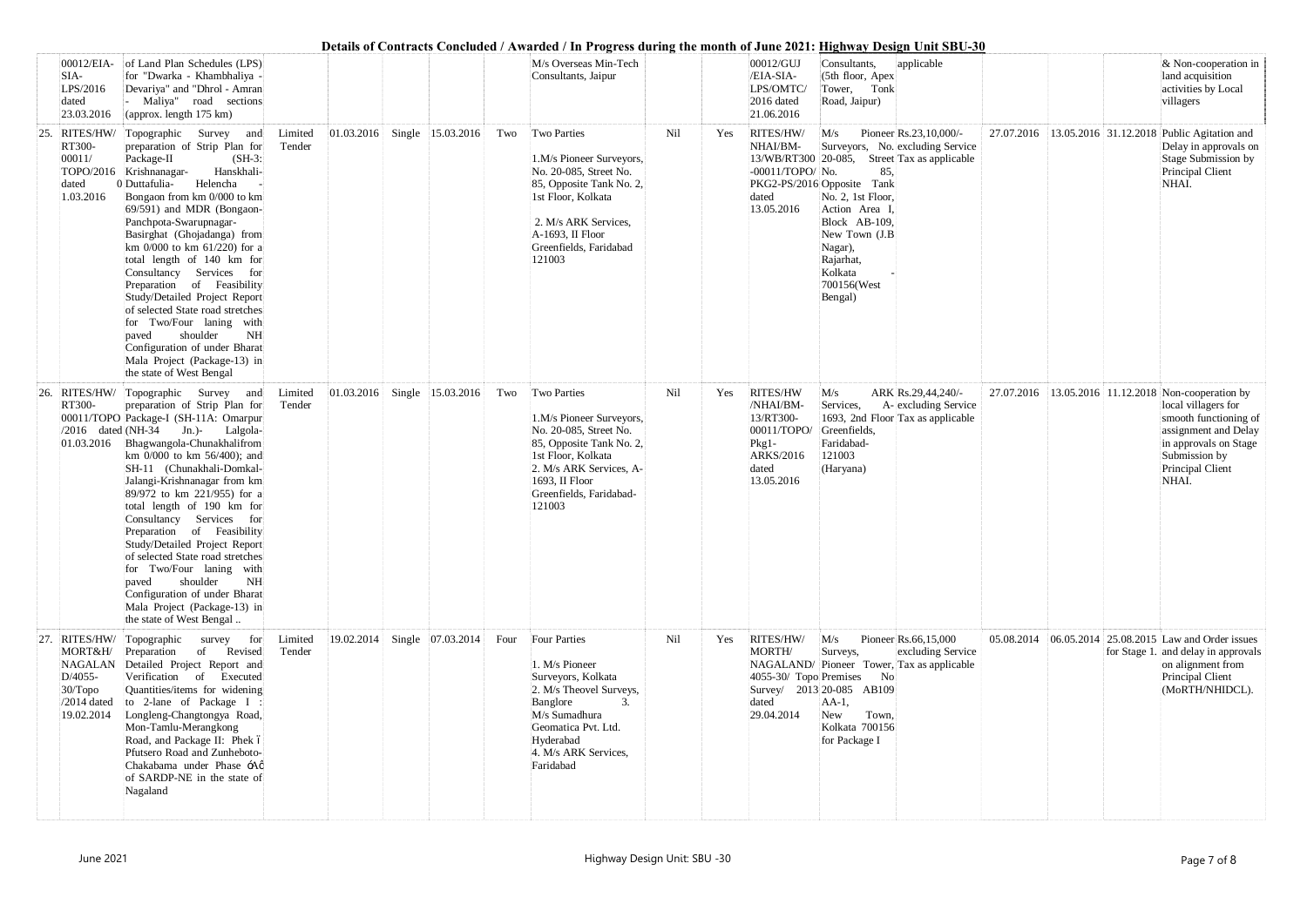|     | 00012/EIA-<br>SIA-<br>LPS/2016<br>dated<br>23.03.2016                        | of Land Plan Schedules (LPS)<br>for "Dwarka - Khambhaliya -<br>Devariya" and "Dhrol - Amran<br>Maliya" road sections<br>(approx. length 175 km)                                                                                                                                                                                                                                                                                                                                                                                                                                                                                      |                   |            |                                   |      | M/s Overseas Min-Tech<br>Consultants, Jaipur                                                                                                                                                          |     |     | 00012/GUJ<br>/EIA-SIA-<br>LPS/OMTC/<br>2016 dated<br>21.06.2016                                                | applicable<br>Consultants,<br>(5th floor, Apex<br>Tower, Tonk<br>Road, Jaipur)                                                                                                                                                                                            |            |                                                       | $\&$ Non-cooperation in<br>land acquisition<br>activities by Local<br>villagers                                                             |
|-----|------------------------------------------------------------------------------|--------------------------------------------------------------------------------------------------------------------------------------------------------------------------------------------------------------------------------------------------------------------------------------------------------------------------------------------------------------------------------------------------------------------------------------------------------------------------------------------------------------------------------------------------------------------------------------------------------------------------------------|-------------------|------------|-----------------------------------|------|-------------------------------------------------------------------------------------------------------------------------------------------------------------------------------------------------------|-----|-----|----------------------------------------------------------------------------------------------------------------|---------------------------------------------------------------------------------------------------------------------------------------------------------------------------------------------------------------------------------------------------------------------------|------------|-------------------------------------------------------|---------------------------------------------------------------------------------------------------------------------------------------------|
| 25. | RITES/HW/<br>RT300-<br>00011/<br>dated<br>1.03.2016                          | Topographic Survey and<br>preparation of Strip Plan for<br>Package-II<br>$(SH-3)$ :<br>Hanskhali-<br>TOPO/2016 Krishnanagar-<br>Helencha<br>0 Duttafulia-<br>Bongaon from km 0/000 to km<br>69/591) and MDR (Bongaon-<br>Panchpota-Swarupnagar-<br>Basirghat (Ghojadanga) from<br>km $0/000$ to km $61/220$ ) for a<br>total length of 140 km for<br>Consultancy Services for<br>Preparation of Feasibility<br>Study/Detailed Project Report<br>of selected State road stretches<br>for Two/Four laning with<br>shoulder<br>NH<br>paved<br>Configuration of under Bharat<br>Mala Project (Package-13) in<br>the state of West Bengal | Limited<br>Tender | 01.03.2016 | Single 15.03.2016                 | Two  | Two Parties<br>1.M/s Pioneer Surveyors,<br>No. 20-085, Street No.<br>85, Opposite Tank No. 2,<br>1st Floor, Kolkata<br>2. M/s ARK Services,<br>A-1693, II Floor<br>Greenfields, Faridabad<br>121003   | Nil | Yes | RITES/HW/<br>NHAI/BM-<br>13/WB/RT300 20-085,<br>$-00011/TOPO/No.$<br>dated<br>13.05.2016                       | Pioneer Rs.23,10,000/-<br>M/s<br>Surveyors, No. excluding Service<br>Street Tax as applicable<br>85,<br>PKG2-PS/2016 Opposite Tank<br>No. 2, 1st Floor,<br>Action Area I,<br>Block AB-109,<br>New Town (J.B)<br>Nagar),<br>Rajarhat,<br>Kolkata<br>700156(West<br>Bengal) |            | 27.07.2016 13.05.2016 31.12.2018 Public Agitation and | Delay in approvals on<br>Stage Submission by<br>Principal Client<br>NHAI.                                                                   |
|     | $26.$ RITES/HW/<br>RT300-<br>01.03.2016                                      | Topographic Survey and<br>preparation of Strip Plan for<br>00011/TOPO Package-I (SH-11A: Omarpur<br>/2016 dated (NH-34 Jn.)- Lalgola-<br>Bhagwangola-Chunakhalifrom<br>km 0/000 to km 56/400); and<br>SH-11 (Chunakhali-Domkal-<br>Jalangi-Krishnanagar from km<br>89/972 to km 221/955) for a<br>total length of 190 km for<br>Consultancy Services for<br>Preparation of Feasibility<br>Study/Detailed Project Report<br>of selected State road stretches<br>for Two/Four laning with<br>shoulder<br>NH<br>paved<br>Configuration of under Bharat<br>Mala Project (Package-13) in<br>the state of West Bengal                      | Limited<br>Tender |            | $ 01.03.2016 $ Single  15.03.2016 | Two  | Two Parties<br>1.M/s Pioneer Surveyors,<br>No. 20-085, Street No.<br>85, Opposite Tank No. 2,<br>1st Floor, Kolkata<br>2. M/s ARK Services, A-<br>1693, II Floor<br>Greenfields, Faridabad-<br>121003 | Nil | Yes | <b>RITES/HW</b><br>/NHAI/BM-<br>13/RT300-<br>00011/TOPO/<br>$Pkg1-$<br><b>ARKS/2016</b><br>dated<br>13.05.2016 | ARK Rs.29,44,240/-<br>M/s<br>Services,<br>A- excluding Service<br>1693, 2nd Floor Tax as applicable<br>Greenfields,<br>Faridabad-<br>121003<br>(Haryana)                                                                                                                  |            | 27.07.2016 13.05.2016 11.12.2018 Non-cooperation by   | local villagers for<br>smooth functioning of<br>assignment and Delay<br>in approvals on Stage<br>Submission by<br>Principal Client<br>NHAI. |
|     | $27.$ RITES/HW/<br>MORT&H/<br>NAGALAN<br>D/4055-<br>$30/T$ opo<br>19.02.2014 | Topographic<br>survey for<br>of Revised<br>Preparation<br>Detailed Project Report and<br>Verification of Executed<br>Quantities/items for widening<br>$/2014$ dated to 2-lane of Package I :<br>Longleng-Changtongya Road,<br>Mon-Tamlu-Merangkong<br>Road, and Package II: Phek ó<br>Pfutsero Road and Zunheboto-<br>Chakabama under Phase -Aø<br>of SARDP-NE in the state of<br>Nagaland                                                                                                                                                                                                                                           | Limited<br>Tender | 19.02.2014 | Single 07.03.2014                 | Four | <b>Four Parties</b><br>1. M/s Pioneer<br>Surveyors, Kolkata<br>2. M/s Theovel Surveys,<br>Banglore<br>3.<br>M/s Sumadhura<br>Geomatica Pvt. Ltd.<br>Hyderabad<br>4. M/s ARK Services,<br>Faridabad    | Nil | Yes | RITES/HW/<br>MORTH/<br>4055-30/ Topo Premises<br>dated<br>29.04.2014                                           | M/s<br>Pioneer Rs.66,15,000<br>Surveys,<br>excluding Service<br>NAGALAND/ Pioneer Tower, Tax as applicable<br>No<br>Survey/ 2013 20-085 AB109<br>$AA-1$ ,<br>New<br>Town,<br>Kolkata 700156<br>for Package I                                                              | 05.08.2014 | 06.05.2014 25.08.2015 Law and Order issues            | for Stage 1. and delay in approvals<br>on alignment from<br>Principal Client<br>(MoRTH/NHIDCL).                                             |